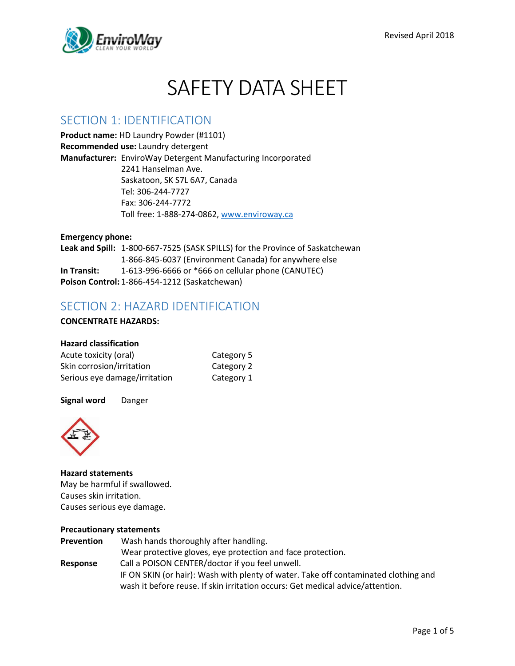

# SAFETY DATA SHEET

### SECTION 1: IDENTIFICATION

**Product name:** HD Laundry Powder (#1101) **Recommended use:** Laundry detergent **Manufacturer:** EnviroWay Detergent Manufacturing Incorporated 2241 Hanselman Ave. Saskatoon, SK S7L 6A7, Canada Tel: 306-244-7727 Fax: 306-244-7772 Toll free: 1-888-274-0862, [www.enviroway.ca](http://www.enviroway.ca/)

**Emergency phone: Leak and Spill:** 1-800-667-7525 (SASK SPILLS) for the Province of Saskatchewan 1-866-845-6037 (Environment Canada) for anywhere else **In Transit:** 1-613-996-6666 or \*666 on cellular phone (CANUTEC) **Poison Control:** 1-866-454-1212 (Saskatchewan)

### SECTION 2: HAZARD IDENTIFICATION

### **CONCENTRATE HAZARDS:**

#### **Hazard classification**

| Acute toxicity (oral)         | Category 5 |
|-------------------------------|------------|
| Skin corrosion/irritation     | Category 2 |
| Serious eye damage/irritation | Category 1 |

#### **Signal word** Danger



### **Hazard statements** May be harmful if swallowed. Causes skin irritation. Causes serious eye damage.

#### **Precautionary statements**

| Prevention | Wash hands thoroughly after handling.                                               |
|------------|-------------------------------------------------------------------------------------|
|            | Wear protective gloves, eye protection and face protection.                         |
| Response   | Call a POISON CENTER/doctor if you feel unwell.                                     |
|            | IF ON SKIN (or hair): Wash with plenty of water. Take off contaminated clothing and |
|            | wash it before reuse. If skin irritation occurs: Get medical advice/attention.      |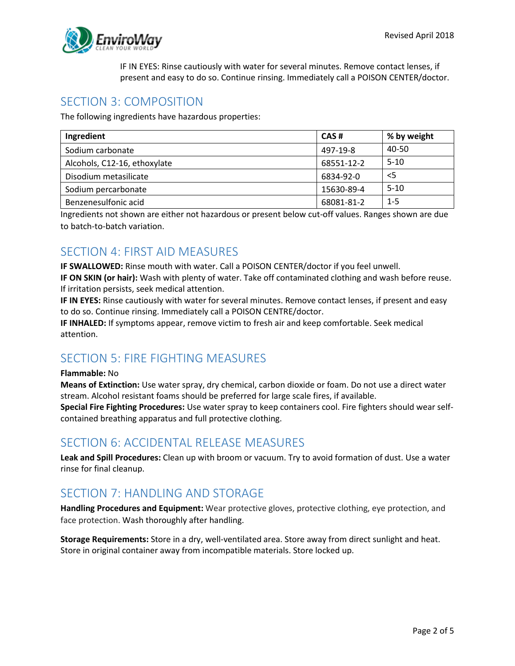

IF IN EYES: Rinse cautiously with water for several minutes. Remove contact lenses, if present and easy to do so. Continue rinsing. Immediately call a POISON CENTER/doctor.

### SECTION 3: COMPOSITION

The following ingredients have hazardous properties:

| Ingredient                   | CAS#       | % by weight |
|------------------------------|------------|-------------|
| Sodium carbonate             | 497-19-8   | 40-50       |
| Alcohols, C12-16, ethoxylate | 68551-12-2 | $5-10$      |
| Disodium metasilicate        | 6834-92-0  | $<$ 5       |
| Sodium percarbonate          | 15630-89-4 | $5-10$      |
| Benzenesulfonic acid         | 68081-81-2 | $1 - 5$     |

Ingredients not shown are either not hazardous or present below cut-off values. Ranges shown are due to batch-to-batch variation.

### SECTION 4: FIRST AID MEASURES

**IF SWALLOWED:** Rinse mouth with water. Call a POISON CENTER/doctor if you feel unwell.

**IF ON SKIN (or hair):** Wash with plenty of water. Take off contaminated clothing and wash before reuse. If irritation persists, seek medical attention.

**IF IN EYES:** Rinse cautiously with water for several minutes. Remove contact lenses, if present and easy to do so. Continue rinsing. Immediately call a POISON CENTRE/doctor.

**IF INHALED:** If symptoms appear, remove victim to fresh air and keep comfortable. Seek medical attention.

# SECTION 5: FIRE FIGHTING MEASURES

#### **Flammable:** No

**Means of Extinction:** Use water spray, dry chemical, carbon dioxide or foam. Do not use a direct water stream. Alcohol resistant foams should be preferred for large scale fires, if available. **Special Fire Fighting Procedures:** Use water spray to keep containers cool. Fire fighters should wear selfcontained breathing apparatus and full protective clothing.

### SECTION 6: ACCIDENTAL RELEASE MEASURES

**Leak and Spill Procedures:** Clean up with broom or vacuum. Try to avoid formation of dust. Use a water rinse for final cleanup.

# SECTION 7: HANDLING AND STORAGE

**Handling Procedures and Equipment:** Wear protective gloves, protective clothing, eye protection, and face protection. Wash thoroughly after handling.

**Storage Requirements:** Store in a dry, well-ventilated area. Store away from direct sunlight and heat. Store in original container away from incompatible materials. Store locked up.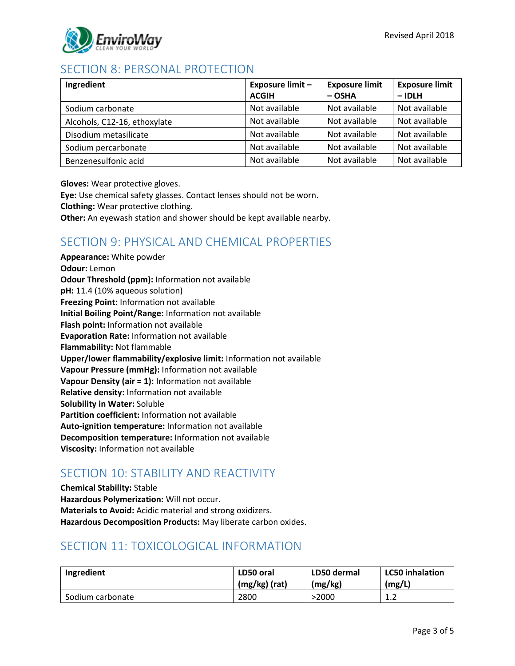

# SECTION 8: PERSONAL PROTECTION

| Ingredient                   | Exposure limit -<br><b>ACGIH</b> | <b>Exposure limit</b><br>$-$ OSHA | <b>Exposure limit</b><br>$-$ IDLH |
|------------------------------|----------------------------------|-----------------------------------|-----------------------------------|
| Sodium carbonate             | Not available                    | Not available                     | Not available                     |
| Alcohols, C12-16, ethoxylate | Not available                    | Not available                     | Not available                     |
| Disodium metasilicate        | Not available                    | Not available                     | Not available                     |
| Sodium percarbonate          | Not available                    | Not available                     | Not available                     |
| Benzenesulfonic acid         | Not available                    | Not available                     | Not available                     |

**Gloves:** Wear protective gloves.

**Eye:** Use chemical safety glasses. Contact lenses should not be worn. **Clothing:** Wear protective clothing. **Other:** An eyewash station and shower should be kept available nearby.

# SECTION 9: PHYSICAL AND CHEMICAL PROPERTIES

**Appearance:** White powder **Odour:** Lemon **Odour Threshold (ppm):** Information not available **pH:** 11.4 (10% aqueous solution) **Freezing Point:** Information not available **Initial Boiling Point/Range:** Information not available **Flash point:** Information not available **Evaporation Rate:** Information not available **Flammability:** Not flammable **Upper/lower flammability/explosive limit:** Information not available **Vapour Pressure (mmHg):** Information not available **Vapour Density (air = 1):** Information not available **Relative density:** Information not available **Solubility in Water:** Soluble **Partition coefficient:** Information not available **Auto-ignition temperature:** Information not available **Decomposition temperature:** Information not available **Viscosity:** Information not available

### SECTION 10: STABILITY AND REACTIVITY

**Chemical Stability:** Stable **Hazardous Polymerization:** Will not occur. **Materials to Avoid:** Acidic material and strong oxidizers. **Hazardous Decomposition Products:** May liberate carbon oxides.

# SECTION 11: TOXICOLOGICAL INFORMATION

| Ingredient       | LD50 oral     | LD50 dermal | <b>LC50 inhalation</b> |
|------------------|---------------|-------------|------------------------|
|                  | (mg/kg) (rat) | (mg/kg)     | (mg/L)                 |
| Sodium carbonate | 2800          | >2000       | -1<br>. . <u>.</u>     |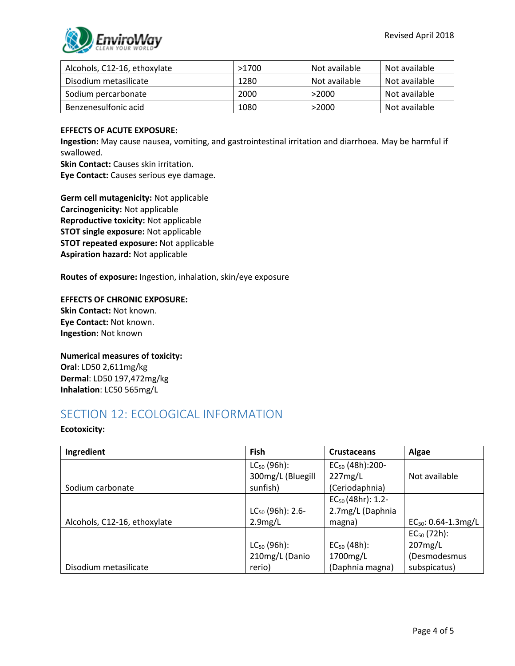

| Alcohols, C12-16, ethoxylate | >1700 | Not available | Not available |
|------------------------------|-------|---------------|---------------|
| Disodium metasilicate        | 1280  | Not available | Not available |
| Sodium percarbonate          | 2000  | >2000         | Not available |
| Benzenesulfonic acid         | 1080  | >2000         | Not available |

#### **EFFECTS OF ACUTE EXPOSURE:**

**Ingestion:** May cause nausea, vomiting, and gastrointestinal irritation and diarrhoea. May be harmful if swallowed.

**Skin Contact:** Causes skin irritation.

**Eye Contact:** Causes serious eye damage.

**Germ cell mutagenicity:** Not applicable **Carcinogenicity:** Not applicable **Reproductive toxicity:** Not applicable **STOT single exposure:** Not applicable **STOT repeated exposure:** Not applicable **Aspiration hazard:** Not applicable

**Routes of exposure:** Ingestion, inhalation, skin/eye exposure

**EFFECTS OF CHRONIC EXPOSURE: Skin Contact:** Not known. **Eye Contact:** Not known. **Ingestion:** Not known

**Numerical measures of toxicity: Oral**: LD50 2,611mg/kg **Dermal**: LD50 197,472mg/kg **Inhalation**: LC50 565mg/L

### SECTION 12: ECOLOGICAL INFORMATION

#### **Ecotoxicity:**

| Ingredient                   | Fish                  | <b>Crustaceans</b>          | Algae                    |
|------------------------------|-----------------------|-----------------------------|--------------------------|
|                              | $LC_{50}$ (96h):      | EC <sub>50</sub> (48h):200- |                          |
|                              | 300mg/L (Bluegill     | 227mg/L                     | Not available            |
| Sodium carbonate             | sunfish)              | (Ceriodaphnia)              |                          |
|                              |                       | $EC_{50}$ (48hr): 1.2-      |                          |
|                              | $LC_{50}$ (96h): 2.6- | 2.7mg/L (Daphnia            |                          |
| Alcohols, C12-16, ethoxylate | 2.9mg/L               | magna)                      | $EC_{50}$ : 0.64-1.3mg/L |
|                              |                       |                             | $EC_{50}$ (72h):         |
|                              | $LC_{50}$ (96h):      | $EC_{50}$ (48h):            | 207mg/L                  |
|                              | 210mg/L (Danio        | 1700mg/L                    | (Desmodesmus             |
| Disodium metasilicate        | rerio)                | (Daphnia magna)             | subspicatus)             |